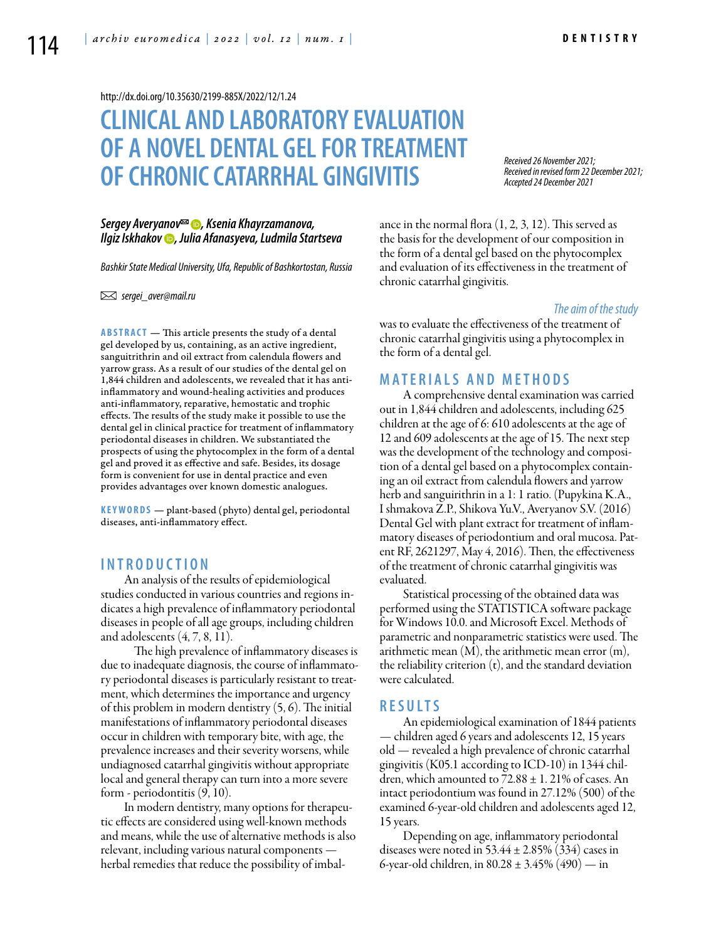<http://dx.doi.org/10.35630/2199-885X/2022/12/1.24>

# **CLINICAL AND LABORATORYEVALUATION OF A NOVEL DENTAL GELFOR TREATMENT OF CHRONIC CATARRHAL GINGIVITIS**

*[Sergey Averyanov](https://orcid.org/0000-0003-1827-1629) , Ksenia Khayrzamanova, [Ilgiz Iskhakov](https://orcid.org/0000-0002-6177-0573) , Julia Afanasyeva, Ludmila Startseva*

*Bashkir State Medical University, Ufa, Republic of Bashkortostan, Russia* 

 *sergei\_aver@mail.ru* 

**ABSTRACT** — This article presents the study of a dental gel developed by us, containing, as an active ingredient, sanguitrithrin and oil extract from calendula flowers and yarrow grass. As a result of our studies of the dental gel on 1,844 children and adolescents, we revealed that it has antiinflammatory and wound-healing activities and produces anti-inflammatory, reparative, hemostatic and trophic effects. The results of the study make it possible to use the dental gel in clinical practice for treatment of inflammatory periodontal diseases in children. We substantiated the prospects of using the phytocomplex in the form of a dental gel and proved it as effective and safe. Besides, its dosage form is convenient for use in dental practice and even provides advantages over known domestic analogues.

KEYWORDS - plant-based (phyto) dental gel, periodontal diseases, anti-inflammatory effect.

#### **I n t r o d u ct i o n**

An analysis of the results of epidemiological studies conducted in various countries and regions indicates a high prevalence of inflammatory periodontal diseases in people of all age groups, including children and adolescents (4, 7, 8, 11).

 The high prevalence of inflammatory diseases is due to inadequate diagnosis, the course of inflammatory periodontal diseases is particularly resistant to treatment, which determines the importance and urgency of this problem in modern dentistry (5, 6). The initial manifestations of inflammatory periodontal diseases occur in children with temporary bite, with age, the prevalence increases and their severity worsens, while undiagnosed catarrhal gingivitis without appropriate local and general therapy can turn into a more severe form - periodontitis (9, 10).

In modern dentistry, many options for therapeutic effects are considered using well-known methods and means, while the use of alternative methods is also relevant, including various natural components herbal remedies that reduce the possibility of imbalance in the normal flora (1, 2, 3, 12). This served as the basis for the development of our composition in the form of a dental gel based on the phytocomplex and evaluation of its effectiveness in the treatment of chronic catarrhal gingivitis.

*Received 26 November 2021;* 

*Accepted 24 December 2021*

*Received in revised form 22 December 2021;* 

#### *The aim of the study*

was to evaluate the effectiveness of the treatment of chronic catarrhal gingivitis using a phytocomplex in the form of a dental gel.

## **MATERIALS AND METHODS**

A comprehensive dental examination was carried out in 1,844 children and adolescents, including 625 children at the age of 6: 610 adolescents at the age of 12 and 609 adolescents at the age of 15. The next step was the development of the technology and composition of a dental gel based on a phytocomplex containing an oil extract from calendula flowers and yarrow herb and sanguirithrin in a 1: 1 ratio. (Pupykina K.A., I shmakova Z.P., Shikova Yu.V., Averyanov S.V. (2016) Dental Gel with plant extract for treatment of inflammatory diseases of periodontium and oral mucosa. Patent RF, 2621297, May 4, 2016). Then, the effectiveness of the treatment of chronic catarrhal gingivitis was evaluated.

Statistical processing of the obtained data was performed using the STATISTICA software package for Windows 10.0. and Microsoft Excel. Methods of parametric and nonparametric statistics were used. The arithmetic mean  $(M)$ , the arithmetic mean error  $(m)$ , the reliability criterion  $(t)$ , and the standard deviation were calculated.

## **R e s u l t s**

An epidemiological examination of 1844 patients — children aged 6 years and adolescents 12, 15 years old — revealed a high prevalence of chronic catarrhal gingivitis (K05.1 according to ICD-10) in 1344 children, which amounted to  $72.88 \pm 1.21\%$  of cases. An intact periodontium was found in 27.12% (500) of the examined 6-year-old children and adolescents aged 12, 15 years.

Depending on age, inflammatory periodontal diseases were noted in 53.44  $\pm$  2.85% (334) cases in 6-year-old children, in  $80.28 \pm 3.45\%$  (490) — in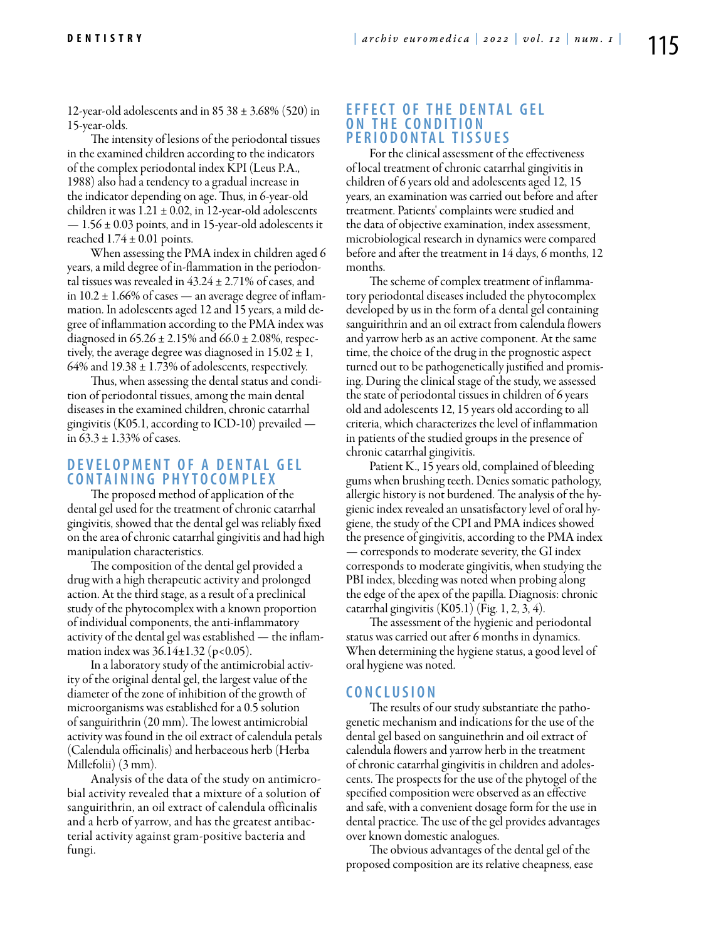12-year-old adolescents and in  $85\,38 \pm 3.68\%$  (520) in 15-year-olds.

The intensity of lesions of the periodontal tissues in the examined children according to the indicators of the complex periodontal index KPI (Leus P.A., 1988) also had a tendency to a gradual increase in the indicator depending on age. Thus, in 6-year-old children it was  $1.21 \pm 0.02$ , in 12-year-old adolescents  $-1.56 \pm 0.03$  points, and in 15-year-old adolescents it reached  $1.74 \pm 0.01$  points.

When assessing the PMA index in children aged 6 years, a mild degree of in-flammation in the periodontal tissues was revealed in  $43.24 \pm 2.71\%$  of cases, and in  $10.2 \pm 1.66\%$  of cases — an average degree of inflammation. In adolescents aged 12 and 15 years, a mild degree of inflammation according to the PMA index was diagnosed in  $65.26 \pm 2.15\%$  and  $66.0 \pm 2.08\%$ , respectively, the average degree was diagnosed in  $15.02 \pm 1$ , 64% and  $19.38 \pm 1.73$ % of adolescents, respectively.

Thus, when assessing the dental status and condition of periodontal tissues, among the main dental diseases in the examined children, chronic catarrhal gingivitis (K05.1, according to ICD-10) prevailed in  $63.3 \pm 1.33\%$  of cases.

# **DEVELOPMENT OF A DENTAL GEL c o n t a i n i n g p h y t o c o mp l e x**

The proposed method of application of the dental gel used for the treatment of chronic catarrhal gingivitis, showed that the dental gel was reliably fixed on the area of chronic catarrhal gingivitis and had high manipulation characteristics.

The composition of the dental gel provided a drug with a high therapeutic activity and prolonged action. At the third stage, as a result of a preclinical study of the phytocomplex with a known proportion of individual components, the anti-inflammatory activity of the dental gel was established — the inflammation index was  $36.14 \pm 1.32$  (p<0.05).

In a laboratory study of the antimicrobial activity of the original dental gel, the largest value of the diameter of the zone of inhibition of the growth of microorganisms was established for a 0.5 solution of sanguirithrin (20 mm). The lowest antimicrobial activity was found in the oil extract of calendula petals (Calendula officinalis) and herbaceous herb (Herba Millefolii) (3 mm).

Analysis of the data of the study on antimicrobial activity revealed that a mixture of a solution of sanguirithrin, an oil extract of calendula officinalis and a herb of yarrow, and has the greatest antibacterial activity against gram-positive bacteria and fungi.

#### **EFFECT OF THE DENTAL GEL ON THE CONDITION p e r i o d o n t a l t i s s u e s**

For the clinical assessment of the effectiveness of local treatment of chronic catarrhal gingivitis in children of 6 years old and adolescents aged 12, 15 years, an examination was carried out before and after treatment. Patients' complaints were studied and the data of objective examination, index assessment, microbiological research in dynamics were compared before and after the treatment in 14 days, 6 months, 12 months.

The scheme of complex treatment of inflammatory periodontal diseases included the phytocomplex developed by us in the form of a dental gel containing sanguirithrin and an oil extract from calendula flowers and yarrow herb as an active component. At the same time, the choice of the drug in the prognostic aspect turned out to be pathogenetically justified and promising. During the clinical stage of the study, we assessed the state of periodontal tissues in children of 6 years old and adolescents 12, 15 years old according to all criteria, which characterizes the level of inflammation in patients of the studied groups in the presence of chronic catarrhal gingivitis.

Patient K., 15 years old, complained of bleeding gums when brushing teeth. Denies somatic pathology, allergic history is not burdened. The analysis of the hygienic index revealed an unsatisfactory level of oral hygiene, the study of the CPI and PMA indices showed the presence of gingivitis, according to the PMA index — corresponds to moderate severity, the GI index corresponds to moderate gingivitis, when studying the PBI index, bleeding was noted when probing along the edge of the apex of the papilla. Diagnosis: chronic catarrhal gingivitis (K05.1) (Fig. 1, 2, 3, 4).

The assessment of the hygienic and periodontal status was carried out after 6 months in dynamics. When determining the hygiene status, a good level of oral hygiene was noted.

#### **C o n cl u s i o n**

The results of our study substantiate the pathogenetic mechanism and indications for the use of the dental gel based on sanguinethrin and oil extract of calendula flowers and yarrow herb in the treatment of chronic catarrhal gingivitis in children and adolescents. The prospects for the use of the phytogel of the specified composition were observed as an effective and safe, with a convenient dosage form for the use in dental practice. The use of the gel provides advantages over known domestic analogues.

The obvious advantages of the dental gel of the proposed composition are its relative cheapness, ease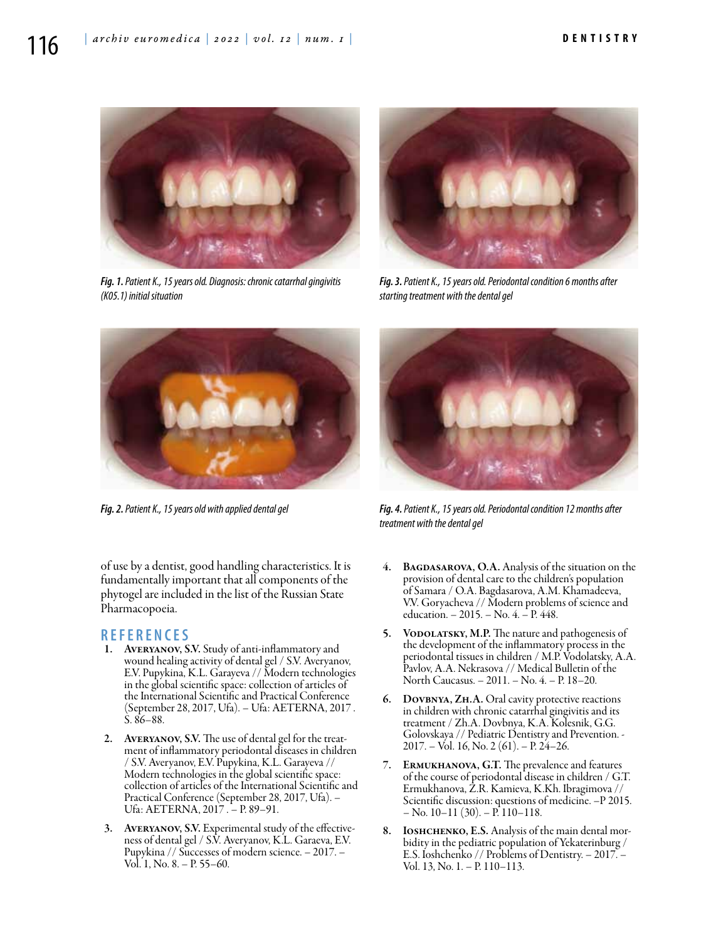

*Fig. 1. Patient K., 15 years old. Diagnosis: chronic catarrhal gingivitis (K05.1) initial situation*



*Fig. 3. Patient K., 15 years old. Periodontal condition 6 months after starting treatment with the dental gel*



*Fig. 2. Patient K., 15 years old with applied dental gel*

of use by a dentist, good handling characteristics. It is fundamentally important that all components of the phytogel are included in the list of the Russian State Pharmacopoeia.

## **R e f e r e n ce s**

- 1. Averyanov, S.V. Study of anti-inflammatory and wound healing activity of dental gel / S.V. Averyanov, E.V. Pupykina, K.L. Garayeva // Modern technologies in the global scientific space: collection of articles of the International Scientific and Practical Conference (September 28, 2017, Ufa). – Ufa: AETERNA, 2017 . S. 86–88.
- 2. AVERYANOV, S.V. The use of dental gel for the treatment of inflammatory periodontal diseases in children / S.V. Averyanov, E.V. Pupykina, K.L. Garayeva // Modern technologies in the global scientific space: collection of articles of the International Scientific and Practical Conference (September 28, 2017, Ufa). – Ufa: AETERNA, 2017 . – P. 89–91.
- 3. AVERYANOV, S.V. Experimental study of the effectiveness of dental gel / S.V. Averyanov, K.L. Garaeva, E.V. Pupykina // Successes of modern science. – 2017. – Vol. 1, No. 8. – P. 55–60.



*Fig. 4. Patient K., 15 years old. Periodontal condition 12 months after treatment with the dental gel* 

- BAGDASAROVA, O.A. Analysis of the situation on the provision of dental care to the children's population of Samara / O.A. Bagdasarova, A.M. Khamadeeva, V.V. Goryacheva // Modern problems of science and education. – 2015. – No. 4. – P. 448.
- 5. VODOLATSKY, M.P. The nature and pathogenesis of the development of the inflammatory process in the periodontal tissues in children / M.P. Vodolatsky, A.A. Pavlov, A.A. Nekrasova // Medical Bulletin of the North Caucasus. – 2011. – No. 4. – P. 18–20.
- 6. Dovbnya, Zh.A. Oral cavity protective reactions in children with chronic catarrhal gingivitis and its treatment / Zh.A. Dovbnya, K.A. Kolesnik, G.G. Golovskaya // Pediatric Dentistry and Prevention. - 2017. – Vol. 16, No. 2 (61). – P. 24–26.
- 7. Ermukhanova, G.T. The prevalence and features of the course of periodontal disease in children / G.T. Ermukhanova, Z.R. Kamieva, K.Kh. Ibragimova // Scientific discussion: questions of medicine. –P 2015. – No. 10–11 (30). – P. 110–118.
- 8. IOSHCHENKO, E.S. Analysis of the main dental morbidity in the pediatric population of Yekaterinburg / E.S. Ioshchenko // Problems of Dentistry. – 2017. – Vol. 13, No. 1. – P. 110–113.